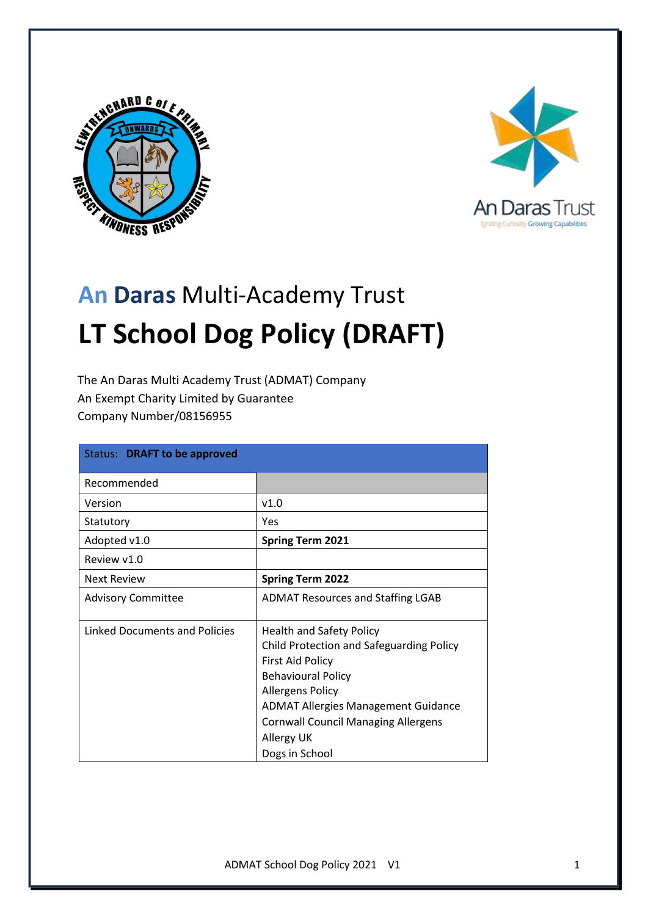



# **An Daras** Multi-Academy Trust **LT School Dog Policy (DRAFT)**

The An Daras Multi Academy Trust (ADMAT) Company An Exempt Charity Limited by Guarantee Company Number/08156955

| Status: DRAFT to be approved  |                                                                                                                                                                                                                                                                                            |
|-------------------------------|--------------------------------------------------------------------------------------------------------------------------------------------------------------------------------------------------------------------------------------------------------------------------------------------|
| Recommended                   |                                                                                                                                                                                                                                                                                            |
| Version                       | v1.0                                                                                                                                                                                                                                                                                       |
| Statutory                     | Yes                                                                                                                                                                                                                                                                                        |
| Adopted v1.0                  | <b>Spring Term 2021</b>                                                                                                                                                                                                                                                                    |
| Review v1.0                   |                                                                                                                                                                                                                                                                                            |
| <b>Next Review</b>            | <b>Spring Term 2022</b>                                                                                                                                                                                                                                                                    |
| <b>Advisory Committee</b>     | <b>ADMAT Resources and Staffing LGAB</b>                                                                                                                                                                                                                                                   |
| Linked Documents and Policies | <b>Health and Safety Policy</b><br>Child Protection and Safeguarding Policy<br><b>First Aid Policy</b><br><b>Behavioural Policy</b><br><b>Allergens Policy</b><br><b>ADMAT Allergies Management Guidance</b><br><b>Cornwall Council Managing Allergens</b><br>Allergy UK<br>Dogs in School |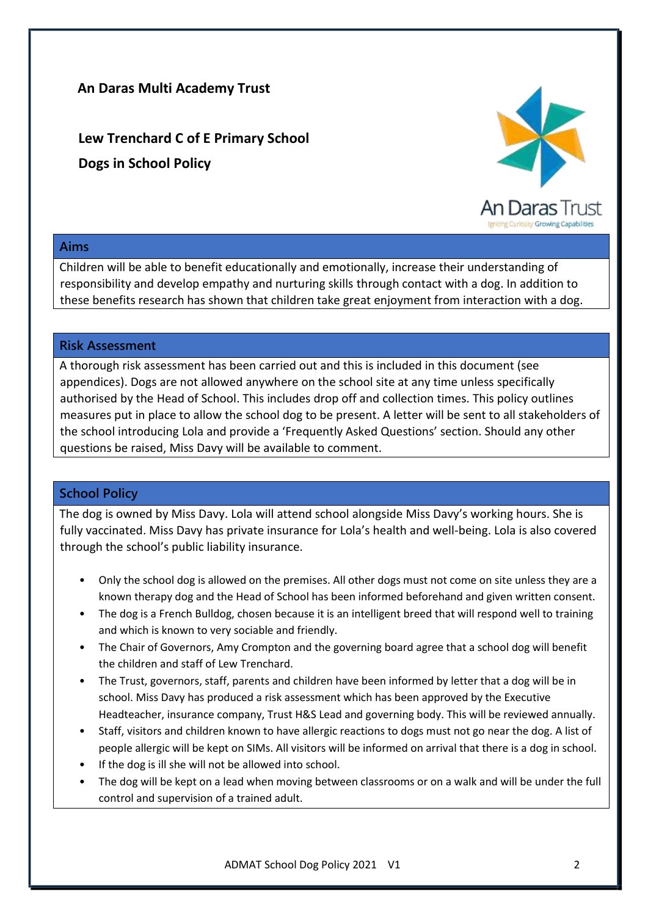## **An Daras Multi Academy Trust**

**Lew Trenchard C of E Primary School Dogs in School Policy**



#### **Aims**

Children will be able to benefit educationally and emotionally, increase their understanding of responsibility and develop empathy and nurturing skills through contact with a dog. In addition to these benefits research has shown that children take great enjoyment from interaction with a dog.

#### **Risk Assessment**

A thorough risk assessment has been carried out and this is included in this document (see appendices). Dogs are not allowed anywhere on the school site at any time unless specifically authorised by the Head of School. This includes drop off and collection times. This policy outlines measures put in place to allow the school dog to be present. A letter will be sent to all stakeholders of the school introducing Lola and provide a 'Frequently Asked Questions' section. Should any other questions be raised, Miss Davy will be available to comment.

### **School Policy**

The dog is owned by Miss Davy. Lola will attend school alongside Miss Davy's working hours. She is fully vaccinated. Miss Davy has private insurance for Lola's health and well-being. Lola is also covered through the school's public liability insurance.

- Only the school dog is allowed on the premises. All other dogs must not come on site unless they are a known therapy dog and the Head of School has been informed beforehand and given written consent.
- The dog is a French Bulldog, chosen because it is an intelligent breed that will respond well to training and which is known to very sociable and friendly.
- The Chair of Governors, Amy Crompton and the governing board agree that a school dog will benefit the children and staff of Lew Trenchard.
- The Trust, governors, staff, parents and children have been informed by letter that a dog will be in school. Miss Davy has produced a risk assessment which has been approved by the Executive Headteacher, insurance company, Trust H&S Lead and governing body. This will be reviewed annually.
- Staff, visitors and children known to have allergic reactions to dogs must not go near the dog. A list of people allergic will be kept on SIMs. All visitors will be informed on arrival that there is a dog in school.
- If the dog is ill she will not be allowed into school.
- The dog will be kept on a lead when moving between classrooms or on a walk and will be under the full control and supervision of a trained adult.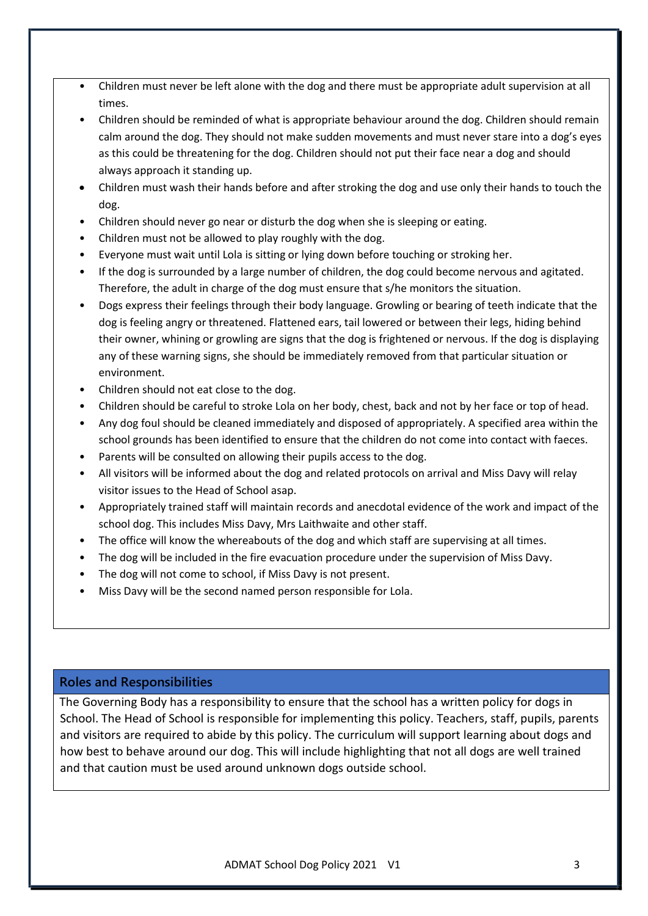- Children must never be left alone with the dog and there must be appropriate adult supervision at all times.
- Children should be reminded of what is appropriate behaviour around the dog. Children should remain calm around the dog. They should not make sudden movements and must never stare into a dog's eyes as this could be threatening for the dog. Children should not put their face near a dog and should always approach it standing up.
- Children must wash their hands before and after stroking the dog and use only their hands to touch the dog.
- Children should never go near or disturb the dog when she is sleeping or eating.
- Children must not be allowed to play roughly with the dog.
- Everyone must wait until Lola is sitting or lying down before touching or stroking her.
- If the dog is surrounded by a large number of children, the dog could become nervous and agitated. Therefore, the adult in charge of the dog must ensure that s/he monitors the situation.
- Dogs express their feelings through their body language. Growling or bearing of teeth indicate that the dog is feeling angry or threatened. Flattened ears, tail lowered or between their legs, hiding behind their owner, whining or growling are signs that the dog is frightened or nervous. If the dog is displaying any of these warning signs, she should be immediately removed from that particular situation or environment.
- Children should not eat close to the dog.
- Children should be careful to stroke Lola on her body, chest, back and not by her face or top of head.
- Any dog foul should be cleaned immediately and disposed of appropriately. A specified area within the school grounds has been identified to ensure that the children do not come into contact with faeces.
- Parents will be consulted on allowing their pupils access to the dog.
- All visitors will be informed about the dog and related protocols on arrival and Miss Davy will relay visitor issues to the Head of School asap.
- Appropriately trained staff will maintain records and anecdotal evidence of the work and impact of the school dog. This includes Miss Davy, Mrs Laithwaite and other staff.
- The office will know the whereabouts of the dog and which staff are supervising at all times.
- The dog will be included in the fire evacuation procedure under the supervision of Miss Davy.
- The dog will not come to school, if Miss Davy is not present.
- Miss Davy will be the second named person responsible for Lola.

## **Roles and Responsibilities**

The Governing Body has a responsibility to ensure that the school has a written policy for dogs in School. The Head of School is responsible for implementing this policy. Teachers, staff, pupils, parents and visitors are required to abide by this policy. The curriculum will support learning about dogs and how best to behave around our dog. This will include highlighting that not all dogs are well trained and that caution must be used around unknown dogs outside school.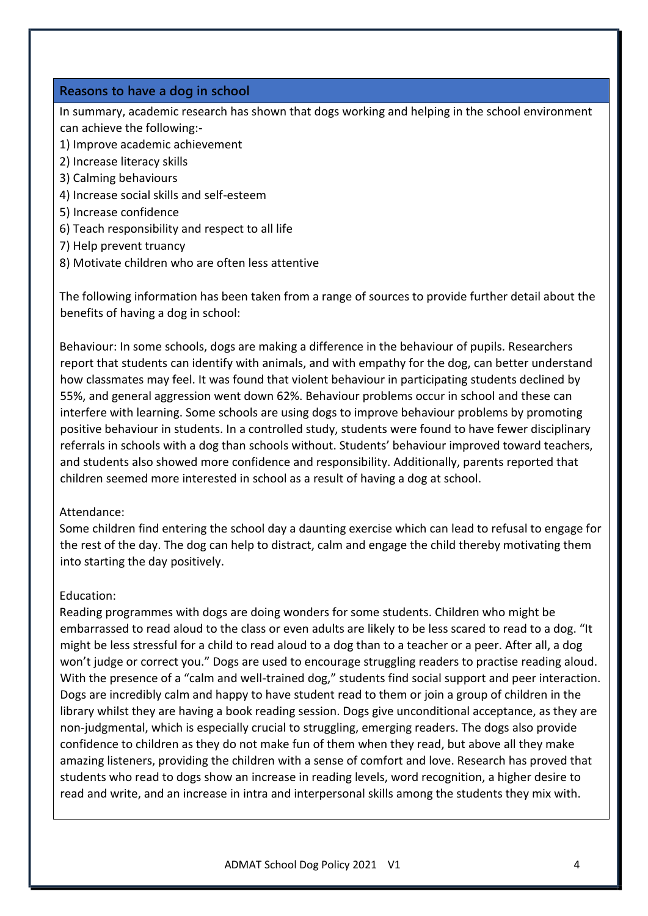#### **Reasons to have a dog in school**

In summary, academic research has shown that dogs working and helping in the school environment can achieve the following:-

- 1) Improve academic achievement
- 2) Increase literacy skills
- 3) Calming behaviours
- 4) Increase social skills and self-esteem
- 5) Increase confidence
- 6) Teach responsibility and respect to all life
- 7) Help prevent truancy
- 8) Motivate children who are often less attentive

The following information has been taken from a range of sources to provide further detail about the benefits of having a dog in school:

Behaviour: In some schools, dogs are making a difference in the behaviour of pupils. Researchers report that students can identify with animals, and with empathy for the dog, can better understand how classmates may feel. It was found that violent behaviour in participating students declined by 55%, and general aggression went down 62%. Behaviour problems occur in school and these can interfere with learning. Some schools are using dogs to improve behaviour problems by promoting positive behaviour in students. In a controlled study, students were found to have fewer disciplinary referrals in schools with a dog than schools without. Students' behaviour improved toward teachers, and students also showed more confidence and responsibility. Additionally, parents reported that children seemed more interested in school as a result of having a dog at school.

#### Attendance:

Some children find entering the school day a daunting exercise which can lead to refusal to engage for the rest of the day. The dog can help to distract, calm and engage the child thereby motivating them into starting the day positively.

#### Education:

Reading programmes with dogs are doing wonders for some students. Children who might be embarrassed to read aloud to the class or even adults are likely to be less scared to read to a dog. "It might be less stressful for a child to read aloud to a dog than to a teacher or a peer. After all, a dog won't judge or correct you." Dogs are used to encourage struggling readers to practise reading aloud. With the presence of a "calm and well-trained dog," students find social support and peer interaction. Dogs are incredibly calm and happy to have student read to them or join a group of children in the library whilst they are having a book reading session. Dogs give unconditional acceptance, as they are non-judgmental, which is especially crucial to struggling, emerging readers. The dogs also provide confidence to children as they do not make fun of them when they read, but above all they make amazing listeners, providing the children with a sense of comfort and love. Research has proved that students who read to dogs show an increase in reading levels, word recognition, a higher desire to read and write, and an increase in intra and interpersonal skills among the students they mix with.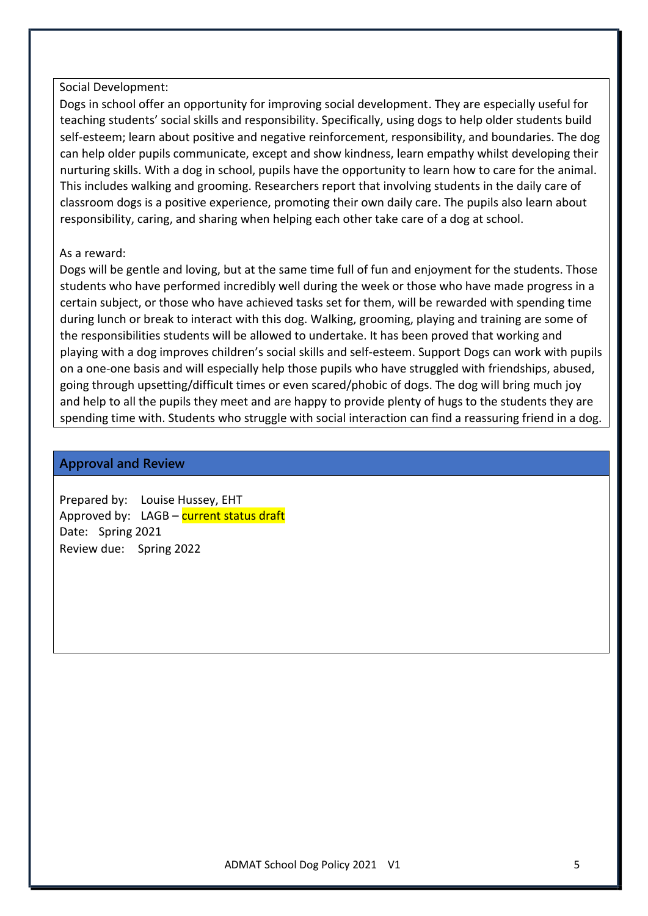#### Social Development:

Dogs in school offer an opportunity for improving social development. They are especially useful for teaching students' social skills and responsibility. Specifically, using dogs to help older students build self-esteem; learn about positive and negative reinforcement, responsibility, and boundaries. The dog can help older pupils communicate, except and show kindness, learn empathy whilst developing their nurturing skills. With a dog in school, pupils have the opportunity to learn how to care for the animal. This includes walking and grooming. Researchers report that involving students in the daily care of classroom dogs is a positive experience, promoting their own daily care. The pupils also learn about responsibility, caring, and sharing when helping each other take care of a dog at school.

#### As a reward:

Dogs will be gentle and loving, but at the same time full of fun and enjoyment for the students. Those students who have performed incredibly well during the week or those who have made progress in a certain subject, or those who have achieved tasks set for them, will be rewarded with spending time during lunch or break to interact with this dog. Walking, grooming, playing and training are some of the responsibilities students will be allowed to undertake. It has been proved that working and playing with a dog improves children's social skills and self-esteem. Support Dogs can work with pupils on a one-one basis and will especially help those pupils who have struggled with friendships, abused, going through upsetting/difficult times or even scared/phobic of dogs. The dog will bring much joy and help to all the pupils they meet and are happy to provide plenty of hugs to the students they are spending time with. Students who struggle with social interaction can find a reassuring friend in a dog.

#### **Approval and Review**

Prepared by: Louise Hussey, EHT Approved by: LAGB – current status draft Date: Spring 2021 Review due: Spring 2022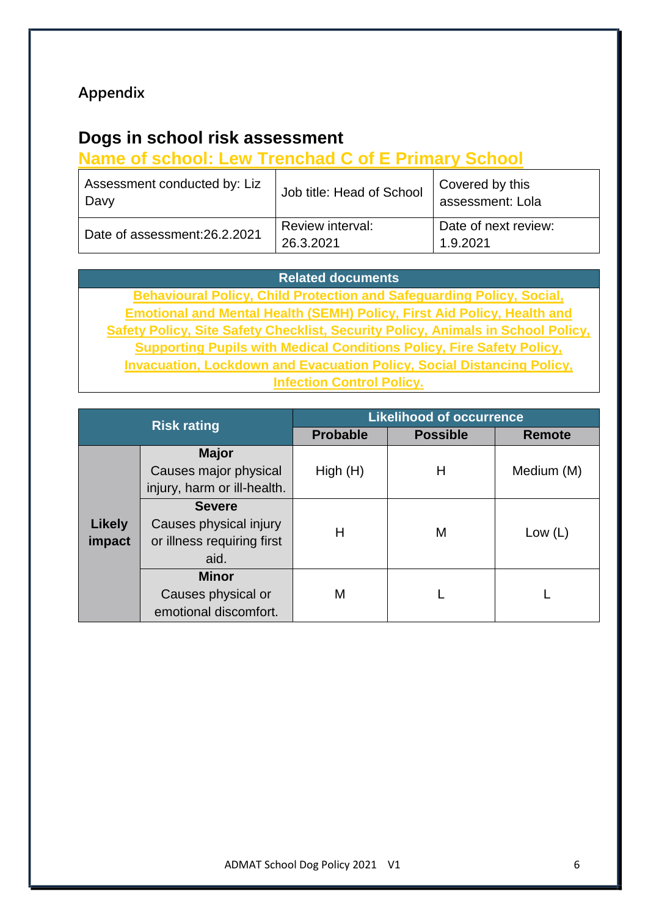# **Appendix**

# **Dogs in school risk assessment**

# **Name of school: Lew Trenchad C of E Primary School**

| Assessment conducted by: Liz<br>Davy | Job title: Head of School     | Covered by this<br>assessment: Lola |
|--------------------------------------|-------------------------------|-------------------------------------|
| Date of assessment:26.2.2021         | Review interval:<br>26.3.2021 | Date of next review:<br>1.9.2021    |

## **Related documents**

**Behavioural Policy, Child Protection and Safeguarding Policy, Social, Emotional and Mental Health (SEMH) Policy, First Aid Policy, Health and Safety Policy, Site Safety Checklist, Security Policy, Animals in School Policy, Supporting Pupils with Medical Conditions Policy, Fire Safety Policy, Invacuation, Lockdown and Evacuation Policy, Social Distancing Policy, Infection Control Policy.**

|                         | <b>Risk rating</b>                                                            | <b>Likelihood of occurrence</b> |                 |               |  |  |  |  |
|-------------------------|-------------------------------------------------------------------------------|---------------------------------|-----------------|---------------|--|--|--|--|
|                         |                                                                               | <b>Probable</b>                 | <b>Possible</b> | <b>Remote</b> |  |  |  |  |
|                         | <b>Major</b><br>Causes major physical<br>injury, harm or ill-health.          | High(H)                         | Н               | Medium (M)    |  |  |  |  |
| <b>Likely</b><br>impact | <b>Severe</b><br>Causes physical injury<br>or illness requiring first<br>aid. | н                               | M               | Low $(L)$     |  |  |  |  |
|                         | <b>Minor</b><br>Causes physical or<br>emotional discomfort.                   | М                               |                 |               |  |  |  |  |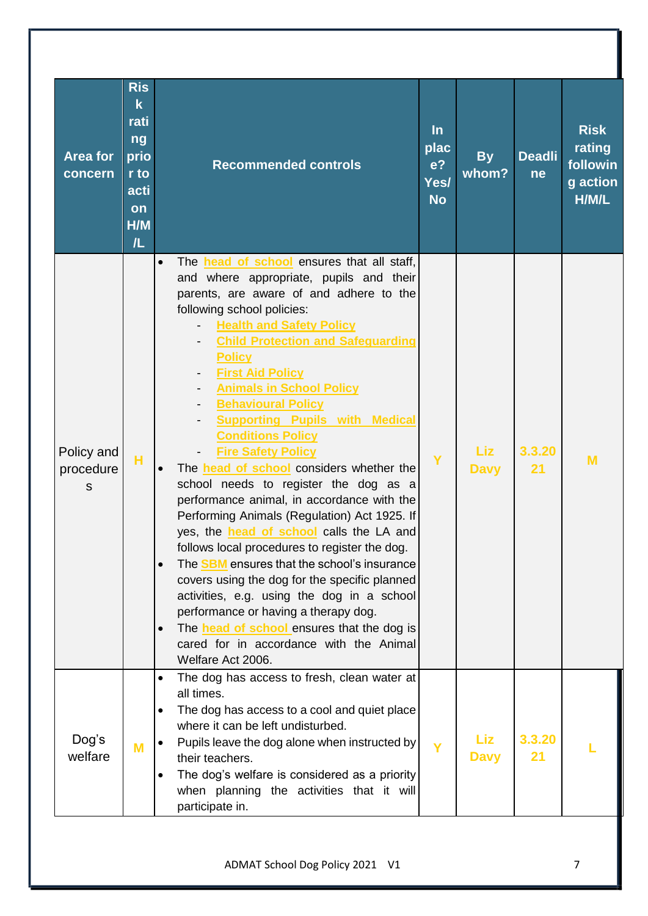| <b>Area for</b><br>concern   | <b>Ris</b><br>$\overline{\mathbf{k}}$<br>rati<br>ng<br>prio<br>r to<br>acti<br>on<br>H/M<br>/L | <b>Recommended controls</b>                                                                                                                                                                                                                                                                                                                                                                                                                                                                                                                                                                                                                                                                                                                                                                                                                                                                                                                                                                                                                                                                                                                                 | $\ln$<br>plac<br>e <sub>2</sub><br>Yes/<br><b>No</b> | <b>By</b><br>whom? | <b>Deadli</b><br>ne | <b>Risk</b><br>rating<br>followin<br>g action<br>H/M/L |
|------------------------------|------------------------------------------------------------------------------------------------|-------------------------------------------------------------------------------------------------------------------------------------------------------------------------------------------------------------------------------------------------------------------------------------------------------------------------------------------------------------------------------------------------------------------------------------------------------------------------------------------------------------------------------------------------------------------------------------------------------------------------------------------------------------------------------------------------------------------------------------------------------------------------------------------------------------------------------------------------------------------------------------------------------------------------------------------------------------------------------------------------------------------------------------------------------------------------------------------------------------------------------------------------------------|------------------------------------------------------|--------------------|---------------------|--------------------------------------------------------|
| Policy and<br>procedure<br>S | H                                                                                              | The head of school ensures that all staff,<br>$\bullet$<br>and where appropriate, pupils and their<br>parents, are aware of and adhere to the<br>following school policies:<br><b>Health and Safety Policy</b><br><b>Child Protection and Safeguarding</b><br><b>Policy</b><br><b>First Aid Policy</b><br>$\overline{\phantom{a}}$<br><b>Animals in School Policy</b><br><b>Behavioural Policy</b><br><b>Supporting Pupils with Medical</b><br><b>Conditions Policy</b><br><b>Fire Safety Policy</b><br>The <b>head of school</b> considers whether the<br>$\bullet$<br>school needs to register the dog as a<br>performance animal, in accordance with the<br>Performing Animals (Regulation) Act 1925. If<br>yes, the <b>head of school</b> calls the LA and<br>follows local procedures to register the dog.<br>The <b>SBM</b> ensures that the school's insurance<br>$\bullet$<br>covers using the dog for the specific planned<br>activities, e.g. using the dog in a school<br>performance or having a therapy dog.<br>The <b>head of school</b> ensures that the dog is<br>$\bullet$<br>cared for in accordance with the Animal<br>Welfare Act 2006. | Y                                                    | Liz<br><b>Davy</b> | 3.3.20<br>21        | M                                                      |
| Dog's<br>welfare             | M                                                                                              | The dog has access to fresh, clean water at<br>$\bullet$<br>all times.<br>The dog has access to a cool and quiet place<br>where it can be left undisturbed.<br>Pupils leave the dog alone when instructed by<br>their teachers.<br>The dog's welfare is considered as a priority<br>when planning the activities that it will<br>participate in.                                                                                                                                                                                                                                                                                                                                                                                                                                                                                                                                                                                                                                                                                                                                                                                                            | Y                                                    | Liz<br><b>Davy</b> | 3.3.20<br>21        |                                                        |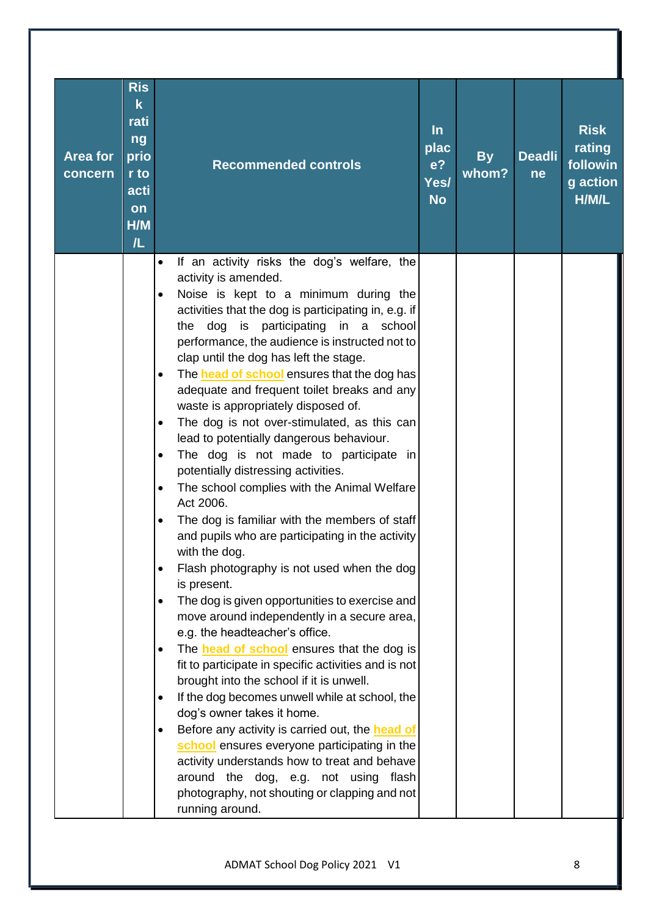|                 | <b>Ris</b><br>$\mathbf k$<br>rati |                                                                                                            | $\ln$             |           |               | <b>Risk</b>       |
|-----------------|-----------------------------------|------------------------------------------------------------------------------------------------------------|-------------------|-----------|---------------|-------------------|
| <b>Area for</b> | ng<br>prio                        |                                                                                                            | plac              | <b>By</b> | <b>Deadli</b> | rating            |
| concern         | r to                              | <b>Recommended controls</b>                                                                                | e <sup>2</sup>    | whom?     | <b>ne</b>     | followin          |
|                 | acti                              |                                                                                                            | Yes/<br><b>No</b> |           |               | g action<br>H/M/L |
|                 | on<br>H/M                         |                                                                                                            |                   |           |               |                   |
|                 | /L                                |                                                                                                            |                   |           |               |                   |
|                 |                                   | If an activity risks the dog's welfare, the<br>$\bullet$                                                   |                   |           |               |                   |
|                 |                                   | activity is amended.                                                                                       |                   |           |               |                   |
|                 |                                   | Noise is kept to a minimum during the<br>$\bullet$<br>activities that the dog is participating in, e.g. if |                   |           |               |                   |
|                 |                                   | the dog is participating in a school                                                                       |                   |           |               |                   |
|                 |                                   | performance, the audience is instructed not to                                                             |                   |           |               |                   |
|                 |                                   | clap until the dog has left the stage.<br>The <b>head of school</b> ensures that the dog has<br>$\bullet$  |                   |           |               |                   |
|                 |                                   | adequate and frequent toilet breaks and any                                                                |                   |           |               |                   |
|                 |                                   | waste is appropriately disposed of.                                                                        |                   |           |               |                   |
|                 |                                   | The dog is not over-stimulated, as this can<br>$\bullet$<br>lead to potentially dangerous behaviour.       |                   |           |               |                   |
|                 |                                   | The dog is not made to participate in<br>$\bullet$                                                         |                   |           |               |                   |
|                 |                                   | potentially distressing activities.                                                                        |                   |           |               |                   |
|                 |                                   | The school complies with the Animal Welfare<br>$\bullet$<br>Act 2006.                                      |                   |           |               |                   |
|                 |                                   | The dog is familiar with the members of staff<br>$\bullet$                                                 |                   |           |               |                   |
|                 |                                   | and pupils who are participating in the activity                                                           |                   |           |               |                   |
|                 |                                   | with the dog.<br>Flash photography is not used when the dog<br>$\bullet$                                   |                   |           |               |                   |
|                 |                                   | is present.                                                                                                |                   |           |               |                   |
|                 |                                   | The dog is given opportunities to exercise and<br>$\bullet$                                                |                   |           |               |                   |
|                 |                                   | move around independently in a secure area,<br>e.g. the headteacher's office.                              |                   |           |               |                   |
|                 |                                   | The <b>head of school</b> ensures that the dog is<br>$\bullet$                                             |                   |           |               |                   |
|                 |                                   | fit to participate in specific activities and is not                                                       |                   |           |               |                   |
|                 |                                   | brought into the school if it is unwell.<br>If the dog becomes unwell while at school, the<br>$\bullet$    |                   |           |               |                   |
|                 |                                   | dog's owner takes it home.                                                                                 |                   |           |               |                   |
|                 |                                   | Before any activity is carried out, the head of<br>$\bullet$                                               |                   |           |               |                   |
|                 |                                   | school ensures everyone participating in the<br>activity understands how to treat and behave               |                   |           |               |                   |
|                 |                                   | around the dog, e.g. not using flash                                                                       |                   |           |               |                   |
|                 |                                   | photography, not shouting or clapping and not                                                              |                   |           |               |                   |
|                 |                                   | running around.                                                                                            |                   |           |               |                   |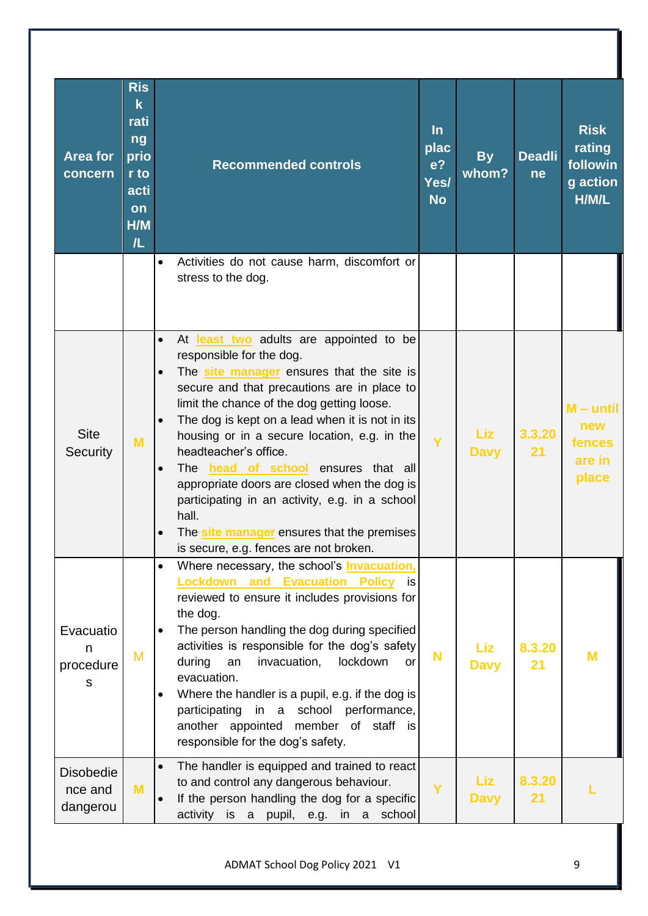| <b>Area for</b><br>concern              | <b>Ris</b><br>$\mathbf k$<br>rati<br>ng<br>prio<br>r to<br>acti<br>on<br>H/M<br>/L | <b>Recommended controls</b>                                                                                                                                                                                                                                                                                                                                                                                                                                                                                                                                                                                                                                 | $\ln$<br>plac<br>e <sub>2</sub><br>Yes/<br><b>No</b> | <b>By</b><br>whom? | <b>Deadli</b><br>ne | <b>Risk</b><br>rating<br>followin<br>g action<br>H/M/L |
|-----------------------------------------|------------------------------------------------------------------------------------|-------------------------------------------------------------------------------------------------------------------------------------------------------------------------------------------------------------------------------------------------------------------------------------------------------------------------------------------------------------------------------------------------------------------------------------------------------------------------------------------------------------------------------------------------------------------------------------------------------------------------------------------------------------|------------------------------------------------------|--------------------|---------------------|--------------------------------------------------------|
|                                         |                                                                                    | Activities do not cause harm, discomfort or<br>$\bullet$<br>stress to the dog.                                                                                                                                                                                                                                                                                                                                                                                                                                                                                                                                                                              |                                                      |                    |                     |                                                        |
| <b>Site</b><br>Security                 | M                                                                                  | $\bullet$<br>At least two adults are appointed to be<br>responsible for the dog.<br>The site manager ensures that the site is<br>$\bullet$<br>secure and that precautions are in place to<br>limit the chance of the dog getting loose.<br>The dog is kept on a lead when it is not in its<br>$\bullet$<br>housing or in a secure location, e.g. in the<br>headteacher's office.<br>The <b>head of school</b> ensures that all<br>$\bullet$<br>appropriate doors are closed when the dog is<br>participating in an activity, e.g. in a school<br>hall.<br>The site manager ensures that the premises<br>$\bullet$<br>is secure, e.g. fences are not broken. | Ÿ                                                    | Liz<br><b>Davy</b> | 3.3.20<br>21        | $M -$ until<br>new<br>fences<br>are in<br>place        |
| Evacuatio<br>n<br>procedure<br>s        | M                                                                                  | Where necessary, the school's <b>Invacuation</b> ,<br>$\bullet$<br><b>Lockdown and Evacuation Policy</b><br>is<br>reviewed to ensure it includes provisions for<br>the dog.<br>The person handling the dog during specified<br>$\bullet$<br>activities is responsible for the dog's safety<br>during<br>invacuation,<br>lockdown<br>an<br>or<br>evacuation.<br>Where the handler is a pupil, e.g. if the dog is<br>$\bullet$<br>participating<br>in a school performance,<br>another appointed member of staff is<br>responsible for the dog's safety.                                                                                                      | <b>N</b>                                             | Liz<br><b>Davy</b> | 8.3.20<br>21        | M                                                      |
| <b>Disobedie</b><br>nce and<br>dangerou | M                                                                                  | The handler is equipped and trained to react<br>$\bullet$<br>to and control any dangerous behaviour.<br>If the person handling the dog for a specific<br>$\bullet$<br>activity is a pupil, e.g. in a school                                                                                                                                                                                                                                                                                                                                                                                                                                                 | Ÿ                                                    | Liz<br><b>Davy</b> | 8.3.20<br>21        |                                                        |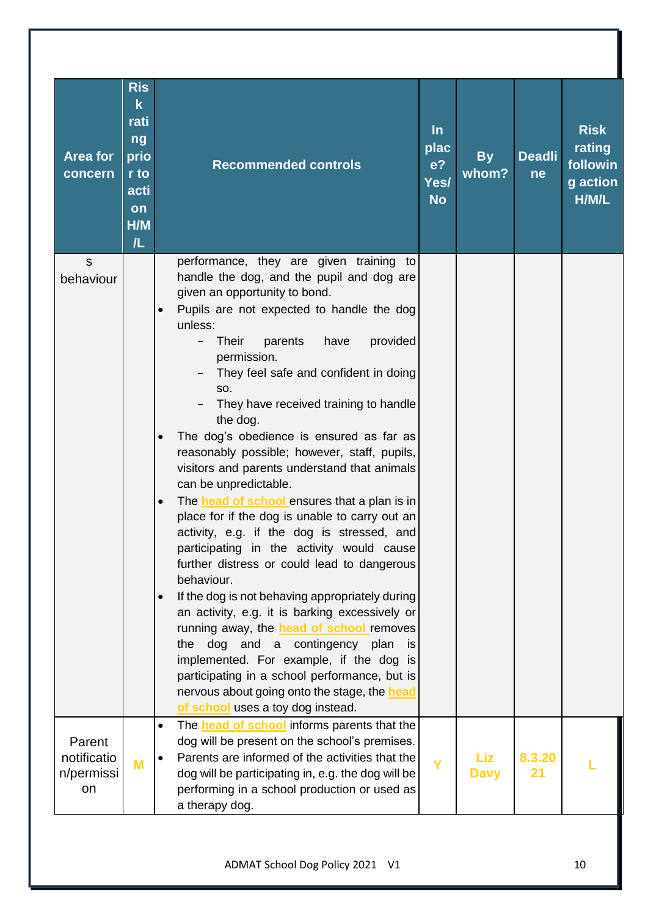| Area for<br>concern                       | <b>Ris</b><br>$\mathbf k$<br>rati<br>ng<br>prio<br>r to<br>acti<br>on<br>H/M<br>/L | <b>Recommended controls</b>                                                                                                                                                                                                                                                                                                                                                                                                                                                                                                                                                                                                                                                                                                                                                                                                                                                                                                                                                                                                                                                                                                                                                                                                    | $\ln$<br>plac<br>e <sub>2</sub><br>Yes/<br><b>No</b> | <b>By</b><br>whom? | <b>Deadli</b><br>ne | <b>Risk</b><br>rating<br>followin<br>g action<br>H/M/L |
|-------------------------------------------|------------------------------------------------------------------------------------|--------------------------------------------------------------------------------------------------------------------------------------------------------------------------------------------------------------------------------------------------------------------------------------------------------------------------------------------------------------------------------------------------------------------------------------------------------------------------------------------------------------------------------------------------------------------------------------------------------------------------------------------------------------------------------------------------------------------------------------------------------------------------------------------------------------------------------------------------------------------------------------------------------------------------------------------------------------------------------------------------------------------------------------------------------------------------------------------------------------------------------------------------------------------------------------------------------------------------------|------------------------------------------------------|--------------------|---------------------|--------------------------------------------------------|
| $\mathsf{s}$<br>behaviour                 |                                                                                    | performance, they are given training to<br>handle the dog, and the pupil and dog are<br>given an opportunity to bond.<br>Pupils are not expected to handle the dog<br>$\bullet$<br>unless:<br><b>Their</b><br>parents<br>have<br>provided<br>permission.<br>They feel safe and confident in doing<br>SO.<br>They have received training to handle<br>the dog.<br>The dog's obedience is ensured as far as<br>$\bullet$<br>reasonably possible; however, staff, pupils,<br>visitors and parents understand that animals<br>can be unpredictable.<br>The <b>head of school</b> ensures that a plan is in<br>$\bullet$<br>place for if the dog is unable to carry out an<br>activity, e.g. if the dog is stressed, and<br>participating in the activity would cause<br>further distress or could lead to dangerous<br>behaviour.<br>If the dog is not behaving appropriately during<br>$\bullet$<br>an activity, e.g. it is barking excessively or<br>running away, the <b>head of school</b> removes<br>dog and a contingency plan<br>the<br>is<br>implemented. For example, if the dog is<br>participating in a school performance, but is<br>nervous about going onto the stage, the head<br>of school uses a toy dog instead. |                                                      |                    |                     |                                                        |
| Parent<br>notificatio<br>n/permissi<br>on | M                                                                                  | The <b>head of school</b> informs parents that the<br>$\bullet$<br>dog will be present on the school's premises.<br>Parents are informed of the activities that the<br>$\bullet$<br>dog will be participating in, e.g. the dog will be<br>performing in a school production or used as<br>a therapy dog.                                                                                                                                                                                                                                                                                                                                                                                                                                                                                                                                                                                                                                                                                                                                                                                                                                                                                                                       | Ÿ                                                    | Liz<br><b>Davy</b> | 8.3.20<br>21        |                                                        |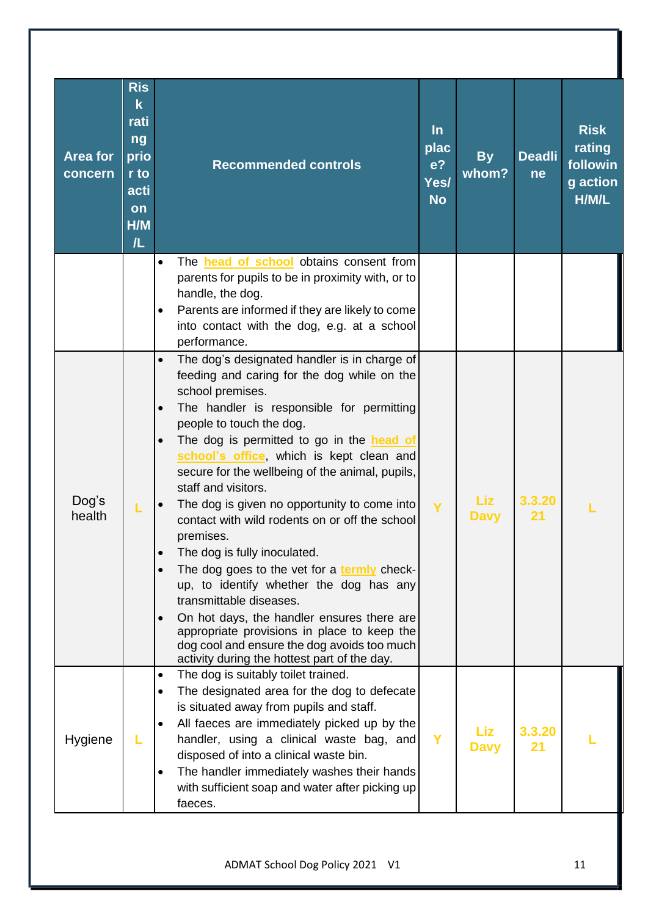|                            | <b>Ris</b><br>$\mathbf k$<br>rati<br>ng |                                                                                                                                                                                                                                                                                                                                                                                                                                                                                                                                                                                                                                                                                                                                                                                                                                                                                                           | $\ln$                                       |                    |                     | <b>Risk</b>                             |
|----------------------------|-----------------------------------------|-----------------------------------------------------------------------------------------------------------------------------------------------------------------------------------------------------------------------------------------------------------------------------------------------------------------------------------------------------------------------------------------------------------------------------------------------------------------------------------------------------------------------------------------------------------------------------------------------------------------------------------------------------------------------------------------------------------------------------------------------------------------------------------------------------------------------------------------------------------------------------------------------------------|---------------------------------------------|--------------------|---------------------|-----------------------------------------|
| <b>Area for</b><br>concern | prio<br>r to<br>acti<br>on              | <b>Recommended controls</b>                                                                                                                                                                                                                                                                                                                                                                                                                                                                                                                                                                                                                                                                                                                                                                                                                                                                               | plac<br>e <sub>2</sub><br>Yes/<br><b>No</b> | <b>By</b><br>whom? | <b>Deadli</b><br>ne | rating<br>followin<br>g action<br>H/M/L |
|                            | H/M<br>/L                               |                                                                                                                                                                                                                                                                                                                                                                                                                                                                                                                                                                                                                                                                                                                                                                                                                                                                                                           |                                             |                    |                     |                                         |
|                            |                                         | The <b>head of school</b> obtains consent from<br>$\bullet$<br>parents for pupils to be in proximity with, or to<br>handle, the dog.                                                                                                                                                                                                                                                                                                                                                                                                                                                                                                                                                                                                                                                                                                                                                                      |                                             |                    |                     |                                         |
|                            |                                         | Parents are informed if they are likely to come<br>$\bullet$<br>into contact with the dog, e.g. at a school<br>performance.                                                                                                                                                                                                                                                                                                                                                                                                                                                                                                                                                                                                                                                                                                                                                                               |                                             |                    |                     |                                         |
| Dog's<br>health            | L                                       | The dog's designated handler is in charge of<br>$\bullet$<br>feeding and caring for the dog while on the<br>school premises.<br>The handler is responsible for permitting<br>$\bullet$<br>people to touch the dog.<br>The dog is permitted to go in the head of<br>$\bullet$<br>school's office, which is kept clean and<br>secure for the wellbeing of the animal, pupils,<br>staff and visitors.<br>The dog is given no opportunity to come into<br>$\bullet$<br>contact with wild rodents on or off the school<br>premises.<br>The dog is fully inoculated.<br>The dog goes to the vet for a termly check-<br>$\bullet$<br>up, to identify whether the dog has any<br>transmittable diseases.<br>On hot days, the handler ensures there are<br>$\bullet$<br>appropriate provisions in place to keep the<br>dog cool and ensure the dog avoids too much<br>activity during the hottest part of the day. | Y                                           | Liz<br><b>Davy</b> | 3.3.20<br>21        |                                         |
| Hygiene                    |                                         | The dog is suitably toilet trained.<br>$\bullet$<br>The designated area for the dog to defecate<br>$\bullet$<br>is situated away from pupils and staff.<br>All faeces are immediately picked up by the<br>$\bullet$<br>handler, using a clinical waste bag, and<br>disposed of into a clinical waste bin.<br>The handler immediately washes their hands<br>$\bullet$<br>with sufficient soap and water after picking up<br>faeces.                                                                                                                                                                                                                                                                                                                                                                                                                                                                        | Y                                           | Liz<br><b>Davy</b> | 3.3.20<br>21        |                                         |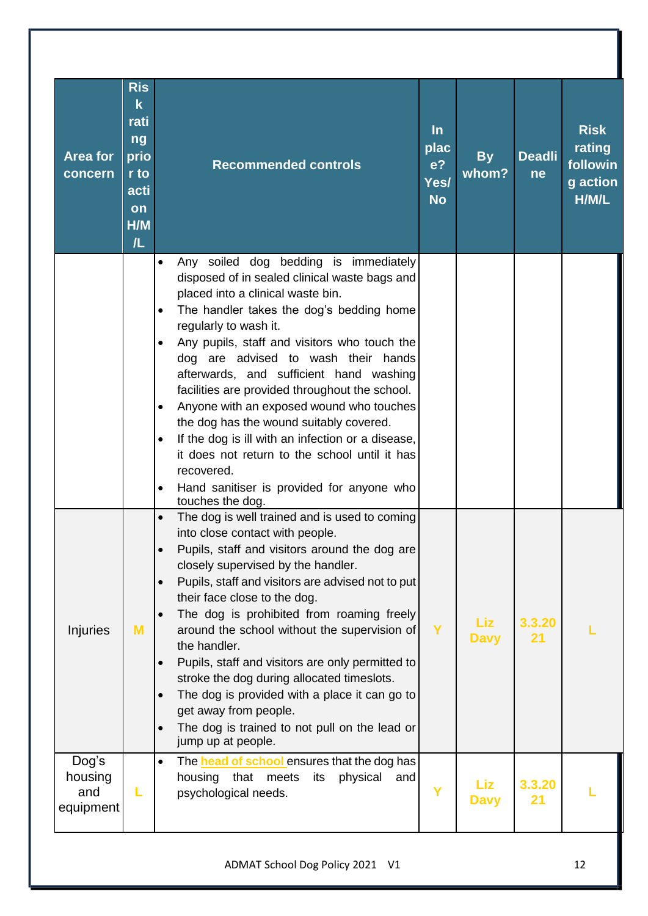| <b>Area for</b><br>concern           | <b>Ris</b><br>$\mathsf k$<br>rati<br>ng<br>prio<br>r to<br>acti<br>on<br>H/M<br>/L | <b>Recommended controls</b>                                                                                                                                                                                                                                                                                                                                                                                                                                                                                                                                                                                                                                                                                                                    | $\ln$<br>plac<br>e <sub>2</sub><br>Yes/<br><b>No</b> | <b>By</b><br>whom? | <b>Deadli</b><br>ne | <b>Risk</b><br>rating<br>followin<br>g action<br>H/M/L |
|--------------------------------------|------------------------------------------------------------------------------------|------------------------------------------------------------------------------------------------------------------------------------------------------------------------------------------------------------------------------------------------------------------------------------------------------------------------------------------------------------------------------------------------------------------------------------------------------------------------------------------------------------------------------------------------------------------------------------------------------------------------------------------------------------------------------------------------------------------------------------------------|------------------------------------------------------|--------------------|---------------------|--------------------------------------------------------|
|                                      |                                                                                    | Any soiled dog bedding is immediately<br>$\bullet$<br>disposed of in sealed clinical waste bags and<br>placed into a clinical waste bin.<br>The handler takes the dog's bedding home<br>$\bullet$<br>regularly to wash it.<br>Any pupils, staff and visitors who touch the<br>$\bullet$<br>dog are advised to wash their hands<br>afterwards, and sufficient hand washing<br>facilities are provided throughout the school.<br>Anyone with an exposed wound who touches<br>$\bullet$<br>the dog has the wound suitably covered.<br>If the dog is ill with an infection or a disease,<br>$\bullet$<br>it does not return to the school until it has<br>recovered.<br>Hand sanitiser is provided for anyone who<br>$\bullet$<br>touches the dog. |                                                      |                    |                     |                                                        |
| Injuries                             | M                                                                                  | The dog is well trained and is used to coming<br>$\bullet$<br>into close contact with people.<br>Pupils, staff and visitors around the dog are<br>closely supervised by the handler.<br>Pupils, staff and visitors are advised not to put<br>$\bullet$<br>their face close to the dog.<br>The dog is prohibited from roaming freely<br>around the school without the supervision of<br>the handler.<br>Pupils, staff and visitors are only permitted to<br>$\bullet$<br>stroke the dog during allocated timeslots.<br>The dog is provided with a place it can go to<br>$\bullet$<br>get away from people.<br>The dog is trained to not pull on the lead or<br>$\bullet$<br>jump up at people.                                                  | Y                                                    | Liz<br><b>Davy</b> | 3.3.20<br>21        |                                                        |
| Dog's<br>housing<br>and<br>equipment | L                                                                                  | $\bullet$<br>The <b>head of school</b> ensures that the dog has<br>housing that meets<br>physical<br>its<br>and<br>psychological needs.                                                                                                                                                                                                                                                                                                                                                                                                                                                                                                                                                                                                        | Ÿ                                                    | Liz<br><b>Davy</b> | 3.3.20<br>21        |                                                        |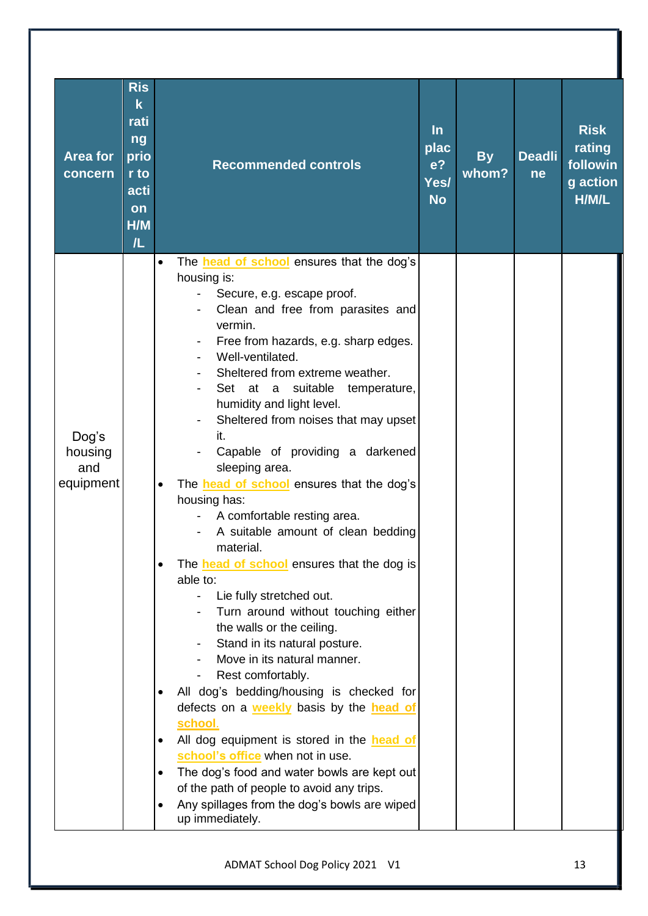| <b>Area for</b><br>concern           | <b>Ris</b><br>$\mathsf k$<br>rati<br>ng<br>prio<br>r to<br>acti<br><b>on</b><br>H/M<br>/L | <b>Recommended controls</b>                                                                                                                                                                                                                                                                                                                                                                                                                                                                                                                                                                                                                                                                                                                                                                                                                                                                                                                                                                                                                                                                                                                                                                                                                                          | $\ln$<br>plac<br>e <sub>2</sub><br>Yes/<br><b>No</b> | <b>By</b><br>whom? | <b>Deadli</b><br>ne | <b>Risk</b><br>rating<br>followin<br>g action<br>H/M/L |
|--------------------------------------|-------------------------------------------------------------------------------------------|----------------------------------------------------------------------------------------------------------------------------------------------------------------------------------------------------------------------------------------------------------------------------------------------------------------------------------------------------------------------------------------------------------------------------------------------------------------------------------------------------------------------------------------------------------------------------------------------------------------------------------------------------------------------------------------------------------------------------------------------------------------------------------------------------------------------------------------------------------------------------------------------------------------------------------------------------------------------------------------------------------------------------------------------------------------------------------------------------------------------------------------------------------------------------------------------------------------------------------------------------------------------|------------------------------------------------------|--------------------|---------------------|--------------------------------------------------------|
| Dog's<br>housing<br>and<br>equipment |                                                                                           | The <b>head of school</b> ensures that the dog's<br>$\bullet$<br>housing is:<br>Secure, e.g. escape proof.<br>Clean and free from parasites and<br>vermin.<br>Free from hazards, e.g. sharp edges.<br>Well-ventilated.<br>Sheltered from extreme weather.<br>Set at a<br>suitable<br>temperature,<br>humidity and light level.<br>Sheltered from noises that may upset<br>it.<br>Capable of providing a darkened<br>sleeping area.<br>The <b>head of school</b> ensures that the dog's<br>$\bullet$<br>housing has:<br>A comfortable resting area.<br>A suitable amount of clean bedding<br>material.<br>The <b>head of school</b> ensures that the dog is<br>able to:<br>Lie fully stretched out.<br>Turn around without touching either<br>the walls or the ceiling.<br>Stand in its natural posture.<br>Move in its natural manner.<br>Rest comfortably.<br>All dog's bedding/housing is checked for<br>$\bullet$<br>defects on a <b>weekly</b> basis by the <b>head of</b><br>school.<br>All dog equipment is stored in the head of<br>$\bullet$<br>school's office when not in use.<br>The dog's food and water bowls are kept out<br>$\bullet$<br>of the path of people to avoid any trips.<br>Any spillages from the dog's bowls are wiped<br>up immediately. |                                                      |                    |                     |                                                        |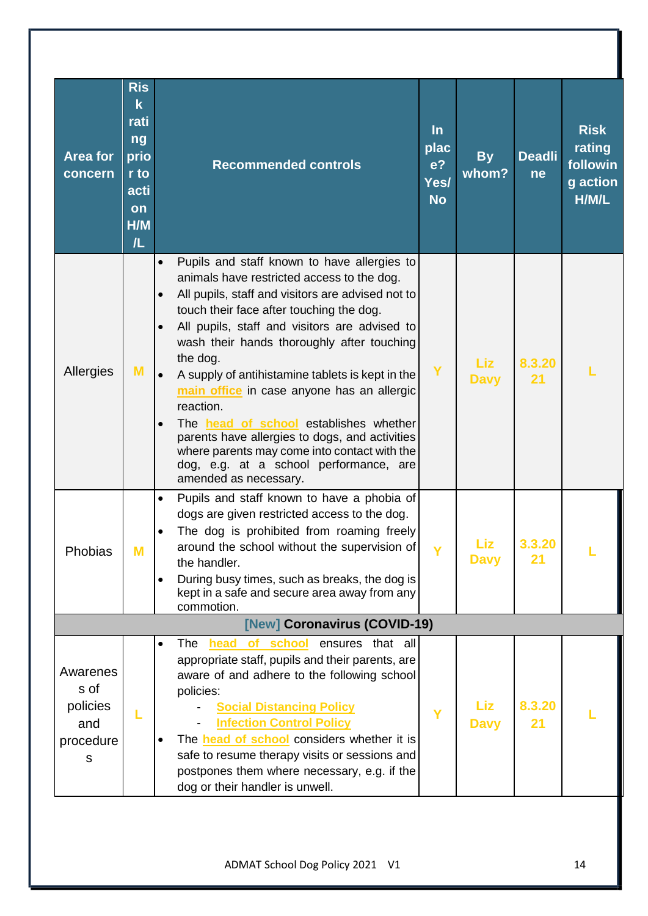| <b>Area for</b><br>concern                            | <b>Ris</b><br>$\mathbf k$<br>rati<br>ng<br>prio<br>r to<br>acti<br>on<br>H/M<br>/L | <b>Recommended controls</b>                                                                                                                                                                                                                                                                                                                                                                                                                                                                                                                                                                                                                                                                          | $\ln$<br>plac<br>e <sub>2</sub><br>Yes/<br><b>No</b> | <b>By</b><br>whom?        | <b>Deadli</b><br>ne | <b>Risk</b><br>rating<br>followin<br>g action<br>H/M/L |
|-------------------------------------------------------|------------------------------------------------------------------------------------|------------------------------------------------------------------------------------------------------------------------------------------------------------------------------------------------------------------------------------------------------------------------------------------------------------------------------------------------------------------------------------------------------------------------------------------------------------------------------------------------------------------------------------------------------------------------------------------------------------------------------------------------------------------------------------------------------|------------------------------------------------------|---------------------------|---------------------|--------------------------------------------------------|
| Allergies                                             | M                                                                                  | Pupils and staff known to have allergies to<br>$\bullet$<br>animals have restricted access to the dog.<br>All pupils, staff and visitors are advised not to<br>$\bullet$<br>touch their face after touching the dog.<br>All pupils, staff and visitors are advised to<br>$\bullet$<br>wash their hands thoroughly after touching<br>the dog.<br>A supply of antihistamine tablets is kept in the<br>$\bullet$<br>main office in case anyone has an allergic<br>reaction.<br>The head of school establishes whether<br>$\bullet$<br>parents have allergies to dogs, and activities<br>where parents may come into contact with the<br>dog, e.g. at a school performance, are<br>amended as necessary. | Y                                                    | <b>Liz</b><br><b>Davy</b> | 8.3.20<br>21        |                                                        |
| Phobias                                               | M                                                                                  | Pupils and staff known to have a phobia of<br>$\bullet$<br>dogs are given restricted access to the dog.<br>The dog is prohibited from roaming freely<br>around the school without the supervision of<br>the handler.<br>During busy times, such as breaks, the dog is<br>$\bullet$<br>kept in a safe and secure area away from any<br>commotion.                                                                                                                                                                                                                                                                                                                                                     |                                                      | Liz<br><b>Davy</b>        | 3.3.20<br>21        |                                                        |
|                                                       |                                                                                    | [New] Coronavirus (COVID-19)                                                                                                                                                                                                                                                                                                                                                                                                                                                                                                                                                                                                                                                                         |                                                      |                           |                     |                                                        |
| Awarenes<br>s of<br>policies<br>and<br>procedure<br>S |                                                                                    | ensures that all<br>The<br>head<br>of school<br>$\bullet$<br>appropriate staff, pupils and their parents, are<br>aware of and adhere to the following school<br>policies:<br><b>Social Distancing Policy</b><br><b>Infection Control Policy</b><br>The <b>head of school</b> considers whether it is<br>safe to resume therapy visits or sessions and<br>postpones them where necessary, e.g. if the<br>dog or their handler is unwell.                                                                                                                                                                                                                                                              | Ÿ                                                    | Liz<br><b>Davy</b>        | 8.3.20<br>21        |                                                        |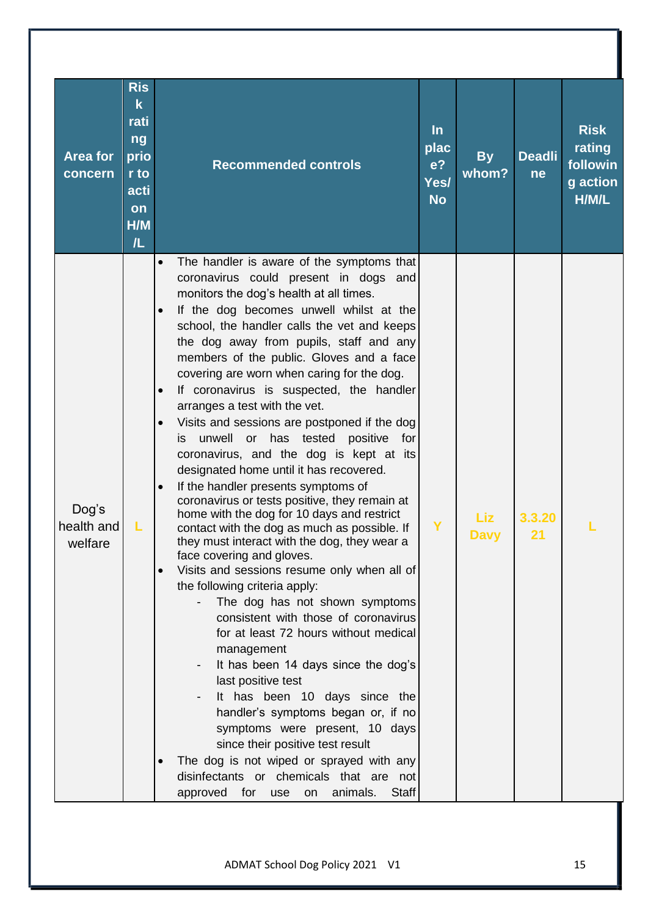| <b>Area for</b><br>concern     | <b>Ris</b><br>$\mathsf k$<br>rati<br>ng<br>prio<br>r to<br>acti<br>on<br>H/M<br>/L | <b>Recommended controls</b>                                                                                                                                                                                                                                                                                                                                                                                                                                                                                                                                                                                                                                                                                                                                                                                                                                                                                                                                                                                                                                                                                                                                                                                                                                                                                                                                                                                                                                                                                                                                                         | $\ln$<br>plac<br>e <sub>2</sub><br>Yes/<br><b>No</b> | <b>By</b><br>whom? | <b>Deadli</b><br>ne | <b>Risk</b><br>rating<br>followin<br>g action<br>H/M/L |
|--------------------------------|------------------------------------------------------------------------------------|-------------------------------------------------------------------------------------------------------------------------------------------------------------------------------------------------------------------------------------------------------------------------------------------------------------------------------------------------------------------------------------------------------------------------------------------------------------------------------------------------------------------------------------------------------------------------------------------------------------------------------------------------------------------------------------------------------------------------------------------------------------------------------------------------------------------------------------------------------------------------------------------------------------------------------------------------------------------------------------------------------------------------------------------------------------------------------------------------------------------------------------------------------------------------------------------------------------------------------------------------------------------------------------------------------------------------------------------------------------------------------------------------------------------------------------------------------------------------------------------------------------------------------------------------------------------------------------|------------------------------------------------------|--------------------|---------------------|--------------------------------------------------------|
| Dog's<br>health and<br>welfare |                                                                                    | The handler is aware of the symptoms that<br>$\bullet$<br>coronavirus could present in dogs and<br>monitors the dog's health at all times.<br>If the dog becomes unwell whilst at the<br>$\bullet$<br>school, the handler calls the vet and keeps<br>the dog away from pupils, staff and any<br>members of the public. Gloves and a face<br>covering are worn when caring for the dog.<br>If coronavirus is suspected, the handler<br>$\bullet$<br>arranges a test with the vet.<br>Visits and sessions are postponed if the dog<br>$\bullet$<br>unwell<br>has tested<br>or<br>positive<br>for<br>İS.<br>coronavirus, and the dog is kept at its<br>designated home until it has recovered.<br>If the handler presents symptoms of<br>$\bullet$<br>coronavirus or tests positive, they remain at<br>home with the dog for 10 days and restrict<br>contact with the dog as much as possible. If<br>they must interact with the dog, they wear a<br>face covering and gloves.<br>Visits and sessions resume only when all of<br>$\bullet$<br>the following criteria apply:<br>The dog has not shown symptoms<br>consistent with those of coronavirus<br>for at least 72 hours without medical<br>management<br>It has been 14 days since the dog's<br>last positive test<br>It has been 10 days since the<br>handler's symptoms began or, if no<br>symptoms were present, 10 days<br>since their positive test result<br>The dog is not wiped or sprayed with any<br>$\bullet$<br>disinfectants or chemicals that are not<br>for<br>animals.<br><b>Staff</b><br>approved<br>use<br>on | Y                                                    | Liz<br><b>Davy</b> | 3.3.20<br>21        |                                                        |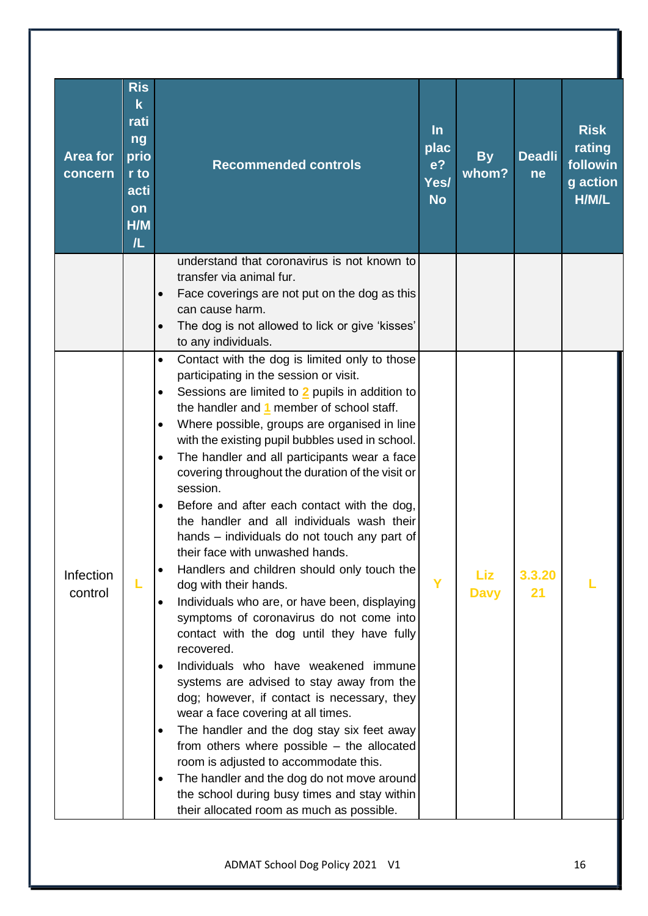| Area for<br>concern         | <b>Ris</b><br>$\mathbf k$<br>rati<br>ng<br>prio<br>r to<br>acti<br>on<br>H/M<br>/L | <b>Recommended controls</b>                                                                                                                                                                                                                                                                                                                                                                                                                                                                                                                                                                                                                                                                                                                                                                                                                                                                                                                                                                                                                                                                                                                                                                                                                                                                                                                                                                                             | $\ln$<br>plac<br>e <sup>2</sup><br>Yes/<br><b>No</b> | <b>By</b><br>whom?        | <b>Deadli</b><br><b>ne</b> | <b>Risk</b><br>rating<br>followin<br>g action<br>H/M/L |
|-----------------------------|------------------------------------------------------------------------------------|-------------------------------------------------------------------------------------------------------------------------------------------------------------------------------------------------------------------------------------------------------------------------------------------------------------------------------------------------------------------------------------------------------------------------------------------------------------------------------------------------------------------------------------------------------------------------------------------------------------------------------------------------------------------------------------------------------------------------------------------------------------------------------------------------------------------------------------------------------------------------------------------------------------------------------------------------------------------------------------------------------------------------------------------------------------------------------------------------------------------------------------------------------------------------------------------------------------------------------------------------------------------------------------------------------------------------------------------------------------------------------------------------------------------------|------------------------------------------------------|---------------------------|----------------------------|--------------------------------------------------------|
|                             |                                                                                    | understand that coronavirus is not known to<br>transfer via animal fur.<br>Face coverings are not put on the dog as this<br>$\bullet$<br>can cause harm.<br>The dog is not allowed to lick or give 'kisses'<br>to any individuals.                                                                                                                                                                                                                                                                                                                                                                                                                                                                                                                                                                                                                                                                                                                                                                                                                                                                                                                                                                                                                                                                                                                                                                                      |                                                      |                           |                            |                                                        |
| <b>Infection</b><br>control | L                                                                                  | Contact with the dog is limited only to those<br>$\bullet$<br>participating in the session or visit.<br>Sessions are limited to 2 pupils in addition to<br>$\bullet$<br>the handler and 1 member of school staff.<br>Where possible, groups are organised in line<br>$\bullet$<br>with the existing pupil bubbles used in school.<br>The handler and all participants wear a face<br>$\bullet$<br>covering throughout the duration of the visit or<br>session.<br>Before and after each contact with the dog,<br>$\bullet$<br>the handler and all individuals wash their<br>hands – individuals do not touch any part of<br>their face with unwashed hands.<br>Handlers and children should only touch the<br>$\bullet$<br>dog with their hands.<br>Individuals who are, or have been, displaying<br>$\bullet$<br>symptoms of coronavirus do not come into<br>contact with the dog until they have fully<br>recovered.<br>Individuals who have weakened immune<br>$\bullet$<br>systems are advised to stay away from the<br>dog; however, if contact is necessary, they<br>wear a face covering at all times.<br>The handler and the dog stay six feet away<br>$\bullet$<br>from others where possible - the allocated<br>room is adjusted to accommodate this.<br>The handler and the dog do not move around<br>$\bullet$<br>the school during busy times and stay within<br>their allocated room as much as possible. | Y                                                    | <b>Liz</b><br><b>Davy</b> | 3.3.20<br>21               |                                                        |